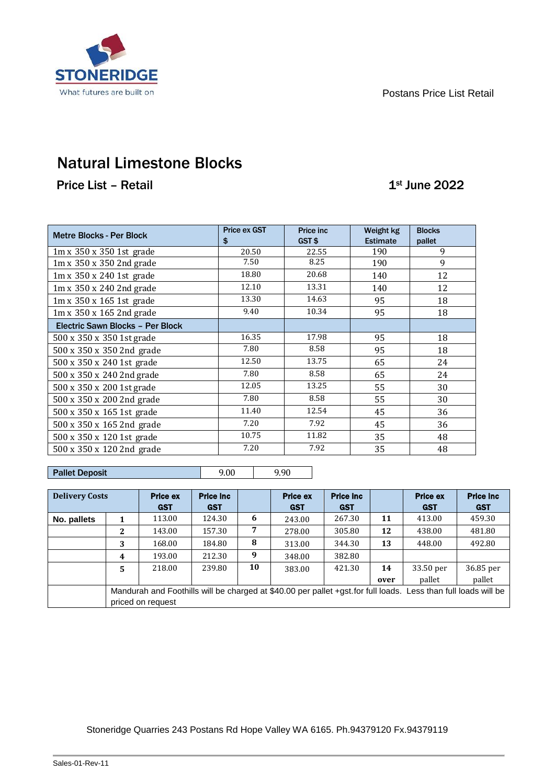

# Natural Limestone Blocks

Price List – Retail 1st June 2022

| <b>Metre Blocks - Per Block</b>      | <b>Price ex GST</b><br>\$ | Price inc.<br>GST\$ | Weight kg<br><b>Estimate</b> | <b>Blocks</b><br>pallet |
|--------------------------------------|---------------------------|---------------------|------------------------------|-------------------------|
| $1m \times 350 \times 350$ 1st grade | 20.50                     | 22.55               | 190                          | 9                       |
| $1m \times 350 \times 350$ 2nd grade | 7.50                      | 8.25                | 190                          | 9                       |
| 1m x 350 x 240 1st grade             | 18.80                     | 20.68               | 140                          | 12                      |
| $1m \times 350 \times 240$ 2nd grade | 12.10                     | 13.31               | 140                          | 12                      |
| $1m \times 350 \times 165$ 1st grade | 13.30                     | 14.63               | 95                           | 18                      |
| $1m \times 350 \times 165$ 2nd grade | 9.40                      | 10.34               | 95                           | 18                      |
| Electric Sawn Blocks - Per Block     |                           |                     |                              |                         |
| 500 x 350 x 350 1st grade            | 16.35                     | 17.98               | 95                           | 18                      |
| 500 x 350 x 350 2nd grade            | 7.80                      | 8.58                | 95                           | 18                      |
| 500 x 350 x 240 1st grade            | 12.50                     | 13.75               | 65                           | 24                      |
| 500 x 350 x 240 2nd grade            | 7.80                      | 8.58                | 65                           | 24                      |
| 500 x 350 x 200 1st grade            | 12.05                     | 13.25               | 55                           | 30                      |
| 500 x 350 x 200 2nd grade            | 7.80                      | 8.58                | 55                           | 30                      |
| 500 x 350 x 165 1st grade            | 11.40                     | 12.54               | 45                           | 36                      |
| 500 x 350 x 165 2nd grade            | 7.20                      | 7.92                | 45                           | 36                      |
| 500 x 350 x 120 1st grade            | 10.75                     | 11.82               | 35                           | 48                      |
| 500 x 350 x 120 2nd grade            | 7.20                      | 7.92                | 35                           | 48                      |

### Pallet Deposit 9.00 9.90

| <b>Delivery Costs</b> |                                                                                                                | <b>Price ex</b> | <b>Price inc.</b> |    | <b>Price ex</b> | <b>Price inc.</b> |      | <b>Price ex</b> | <b>Price inc.</b> |
|-----------------------|----------------------------------------------------------------------------------------------------------------|-----------------|-------------------|----|-----------------|-------------------|------|-----------------|-------------------|
|                       |                                                                                                                | <b>GST</b>      | <b>GST</b>        |    | <b>GST</b>      | <b>GST</b>        |      | <b>GST</b>      | <b>GST</b>        |
| No. pallets           |                                                                                                                | 113.00          | 124.30            | 6  | 243.00          | 267.30            | 11   | 413.00          | 459.30            |
|                       | 2                                                                                                              | 143.00          | 157.30            | 7  | 278.00          | 305.80            | 12   | 438.00          | 481.80            |
|                       | 3                                                                                                              | 168.00          | 184.80            | 8  | 313.00          | 344.30            | 13   | 448.00          | 492.80            |
|                       | 4                                                                                                              | 193.00          | 212.30            | 9  | 348.00          | 382.80            |      |                 |                   |
|                       | 5                                                                                                              | 218.00          | 239.80            | 10 | 383.00          | 421.30            | 14   | 33.50 per       | 36.85 per         |
|                       |                                                                                                                |                 |                   |    |                 |                   | over | pallet          | pallet            |
|                       | Mandurah and Foothills will be charged at \$40.00 per pallet +gst.for full loads. Less than full loads will be |                 |                   |    |                 |                   |      |                 |                   |
|                       | priced on request                                                                                              |                 |                   |    |                 |                   |      |                 |                   |

### Stoneridge Quarries 243 Postans Rd Hope Valley WA 6165. Ph.94379120 Fx.94379119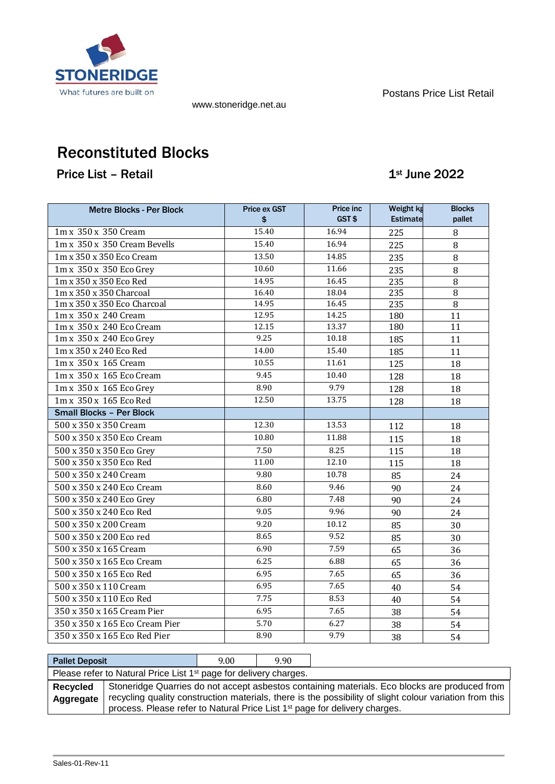

www.stoneridge.net.au

Postans Price List Retail

# Reconstituted Blocks

Price List – Retail 1st June 2022

| <b>Metre Blocks - Per Block</b> | Price ex GST<br>\$ | Price inc<br>GST\$ | Weight kg<br><b>Estimate</b> | <b>Blocks</b><br>pallet |
|---------------------------------|--------------------|--------------------|------------------------------|-------------------------|
| 1m x 350 x 350 Cream            | 15.40              | 16.94              | 225                          | 8                       |
| 1m x 350 x 350 Cream Bevells    | 15.40              | 16.94              | 225                          | 8                       |
| 1m x 350 x 350 Eco Cream        | 13.50              | 14.85              | 235                          | 8                       |
| 1m x 350 x 350 Eco Grey         | 10.60              | 11.66              | 235                          | 8                       |
| 1m x 350 x 350 Eco Red          | 14.95              | 16.45              | 235                          | $\overline{8}$          |
| 1m x 350 x 350 Charcoal         | 16.40              | 18.04              | 235                          | 8                       |
| 1m x 350 x 350 Eco Charcoal     | 14.95              | 16.45              | 235                          | 8                       |
| 1m x 350 x 240 Cream            | 12.95              | 14.25              | 180                          | 11                      |
| 1m x 350 x 240 Eco Cream        | 12.15              | 13.37              | 180                          | 11                      |
| 1m x 350 x 240 Eco Grey         | 9.25               | 10.18              | 185                          | 11                      |
| 1m x 350 x 240 Eco Red          | 14.00              | 15.40              | 185                          | 11                      |
| 1m x 350 x 165 Cream            | 10.55              | 11.61              | 125                          | 18                      |
| 1m x 350 x 165 Eco Cream        | 9.45               | 10.40              | 128                          | 18                      |
| 1m x 350 x 165 Eco Grey         | 8.90               | 9.79               | 128                          | 18                      |
| 1m x 350 x 165 Eco Red          | 12.50              | 13.75              | 128                          | 18                      |
| <b>Small Blocks - Per Block</b> |                    |                    |                              |                         |
| 500 x 350 x 350 Cream           | 12.30              | 13.53              | 112                          | 18                      |
| 500 x 350 x 350 Eco Cream       | 10.80              | 11.88              | 115                          | 18                      |
| 500 x 350 x 350 Eco Grey        | 7.50               | 8.25               | 115                          | 18                      |
| 500 x 350 x 350 Eco Red         | 11.00              | 12.10              | 115                          | 18                      |
| 500 x 350 x 240 Cream           | 9.80               | 10.78              | 85                           | 24                      |
| 500 x 350 x 240 Eco Cream       | 8.60               | 9.46               | 90                           | 24                      |
| 500 x 350 x 240 Eco Grey        | 6.80               | 7.48               | 90                           | 24                      |
| 500 x 350 x 240 Eco Red         | 9.05               | 9.96               | 90                           | 24                      |
| 500 x 350 x 200 Cream           | 9.20               | 10.12              | 85                           | 30                      |
| 500 x 350 x 200 Eco red         | 8.65               | 9.52               | 85                           | 30                      |
| 500 x 350 x 165 Cream           | 6.90               | 7.59               | 65                           | 36                      |
| 500 x 350 x 165 Eco Cream       | 6.25               | 6.88               | 65                           | 36                      |
| 500 x 350 x 165 Eco Red         | 6.95               | 7.65               | 65                           | 36                      |
| 500 x 350 x 110 Cream           | 6.95               | 7.65               | 40                           | 54                      |
| 500 x 350 x 110 Eco Red         | 7.75               | 8.53               | 40                           | 54                      |
| 350 x 350 x 165 Cream Pier      | 6.95               | 7.65               | 38                           | 54                      |
| 350 x 350 x 165 Eco Cream Pier  | 5.70               | 6.27               | 38                           | 54                      |
| 350 x 350 x 165 Eco Red Pier    | 8.90               | 9.79               | 38                           | 54                      |

| <b>Pallet Deposit</b>                                                         |                                                                                                         | 9.00 | 9.90 |                                                                                        |  |  |
|-------------------------------------------------------------------------------|---------------------------------------------------------------------------------------------------------|------|------|----------------------------------------------------------------------------------------|--|--|
| Please refer to Natural Price List 1 <sup>st</sup> page for delivery charges. |                                                                                                         |      |      |                                                                                        |  |  |
| <b>Recycled</b>                                                               | Stoneridge Quarries do not accept asbestos containing materials. Eco blocks are produced from           |      |      |                                                                                        |  |  |
| Aggregate                                                                     | recycling quality construction materials, there is the possibility of slight colour variation from this |      |      |                                                                                        |  |  |
|                                                                               |                                                                                                         |      |      | process. Please refer to Natural Price List 1 <sup>st</sup> page for delivery charges. |  |  |